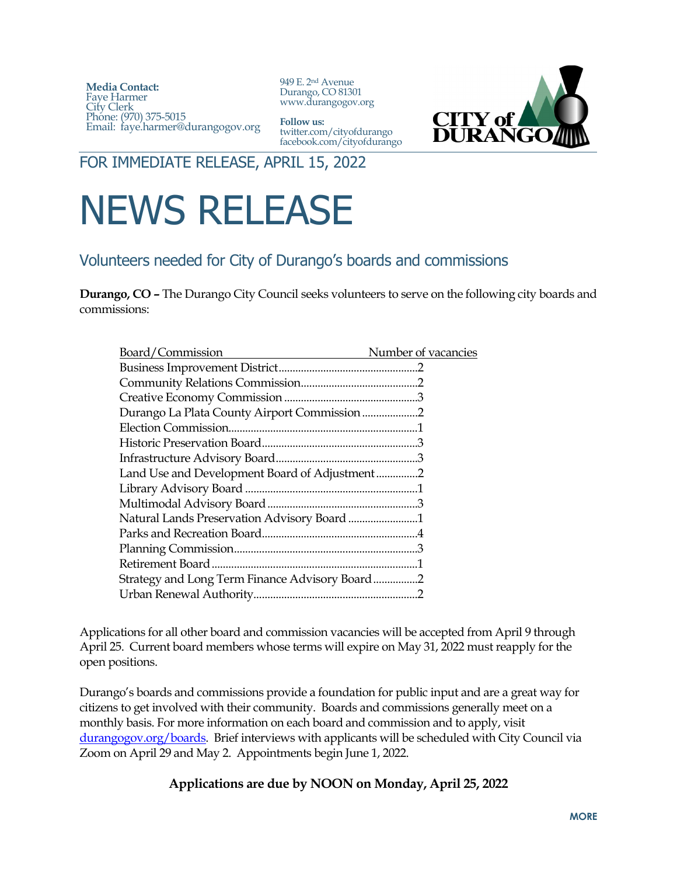**Media Contact:**  Faye Harmer City Clerk Phone: (970) 375-5015 Email: faye.harmer@durangogov.org

949 E. 2nd Avenue Durango, CO 81301 www.durangogov.org



**Follow us:** twitter.com/cityofdurango facebook.com/cityofdurango

FOR IMMEDIATE RELEASE, APRIL 15, 2022

## NEWS RELEASE

## Volunteers needed for City of Durango's boards and commissions

**Durango, CO –** The Durango City Council seeks volunteers to serve on the following city boards and commissions:

| Board/Commission                               | Number of vacancies |
|------------------------------------------------|---------------------|
|                                                |                     |
|                                                |                     |
|                                                |                     |
| Durango La Plata County Airport Commission2    |                     |
|                                                |                     |
|                                                |                     |
|                                                |                     |
| Land Use and Development Board of Adjustment2  |                     |
|                                                |                     |
|                                                |                     |
| Natural Lands Preservation Advisory Board 1    |                     |
|                                                |                     |
|                                                |                     |
|                                                |                     |
| Strategy and Long Term Finance Advisory Board2 |                     |
|                                                |                     |
|                                                |                     |

Applications for all other board and commission vacancies will be accepted from April 9 through April 25. Current board members whose terms will expire on May 31, 2022 must reapply for the open positions.

Durango's boards and commissions provide a foundation for public input and are a great way for citizens to get involved with their community. Boards and commissions generally meet on a monthly basis. For more information on each board and commission and to apply, visit [durangogov.org/boards.](http://www.durangogov.org/boards) Brief interviews with applicants will be scheduled with City Council via Zoom on April 29 and May 2. Appointments begin June 1, 2022.

## **Applications are due by NOON on Monday, April 25, 2022**